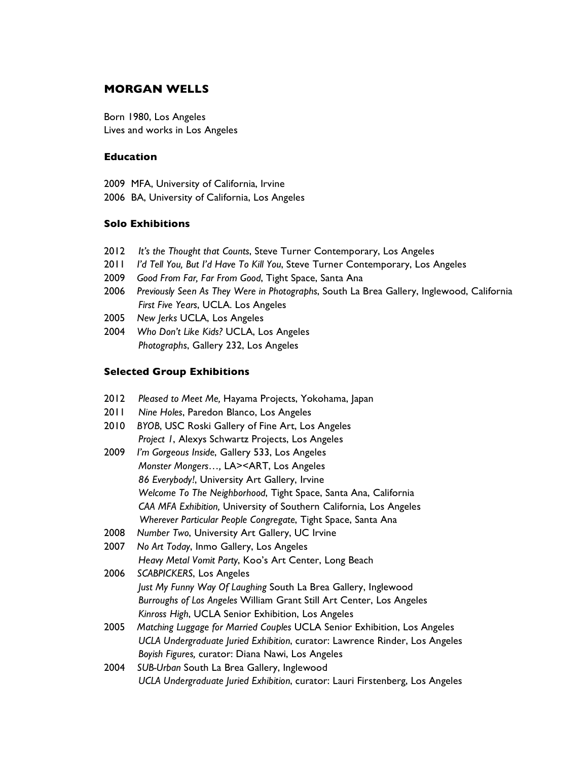# **MORGAN WELLS**

Born 1980, Los Angeles Lives and works in Los Angeles

# **Education**

2009 MFA, University of California, Irvine

2006 BA, University of California, Los Angeles

### **Solo Exhibitions**

- 2012 *It's the Thought that Counts*, Steve Turner Contemporary, Los Angeles
- 2011 *I'd Tell You, But I'd Have To Kill You*, Steve Turner Contemporary, Los Angeles
- 2009 *Good From Far, Far From Good*, Tight Space, Santa Ana
- 2006 *Previously Seen As They Were in Photographs*, South La Brea Gallery, Inglewood, California *First Five Years*, UCLA. Los Angeles
- 2005 *New Jerks* UCLA, Los Angeles
- 2004 *Who Don't Like Kids?* UCLA, Los Angeles *Photographs*, Gallery 232, Los Angeles

### **Selected Group Exhibitions**

- 2012 *Pleased to Meet Me,* Hayama Projects, Yokohama, Japan
- 2011 *Nine Holes*, Paredon Blanco, Los Angeles
- 2010 *BYOB*, USC Roski Gallery of Fine Art, Los Angeles *Project 1*, Alexys Schwartz Projects, Los Angeles
- 2009 *I'm Gorgeous Inside*, Gallery 533, Los Angeles *Monster Mongers…,* LA><ART, Los Angeles *86 Everybody!*, University Art Gallery, Irvine *Welcome To The Neighborhood*, Tight Space, Santa Ana, California *CAA MFA Exhibition,* University of Southern California, Los Angeles *Wherever Particular People Congregate*, Tight Space, Santa Ana
- 2008 *Number Two*, University Art Gallery, UC Irvine
- 2007 *No Art Today*, Inmo Gallery, Los Angeles *Heavy Metal Vomit Party*, Koo's Art Center, Long Beach
- 2006 *SCABPICKERS*, Los Angeles *Just My Funny Way Of Laughing* South La Brea Gallery, Inglewood *Burroughs of Los Angeles* William Grant Still Art Center, Los Angeles *Kinross High*, UCLA Senior Exhibition, Los Angeles
- 2005 *Matching Luggage for Married Couples* UCLA Senior Exhibition, Los Angeles *UCLA Undergraduate Juried Exhibition*, curator: Lawrence Rinder, Los Angeles *Boyish Figures,* curator: Diana Nawi, Los Angeles
- 2004 *SUB-Urban* South La Brea Gallery, Inglewood *UCLA Undergraduate Juried Exhibition*, curator: Lauri Firstenberg, Los Angeles